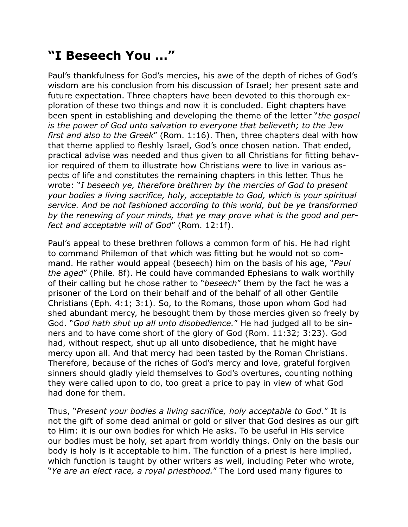## **"I Beseech You …"**

Paul's thankfulness for God's mercies, his awe of the depth of riches of God's wisdom are his conclusion from his discussion of Israel; her present sate and future expectation. Three chapters have been devoted to this thorough exploration of these two things and now it is concluded. Eight chapters have been spent in establishing and developing the theme of the letter "*the gospel is the power of God unto salvation to everyone that believeth; to the Jew first and also to the Greek*" (Rom. 1:16). Then, three chapters deal with how that theme applied to fleshly Israel, God's once chosen nation. That ended, practical advise was needed and thus given to all Christians for fitting behavior required of them to illustrate how Christians were to live in various aspects of life and constitutes the remaining chapters in this letter. Thus he wrote: "*I beseech ye, therefore brethren by the mercies of God to present your bodies a living sacrifice, holy, acceptable to God, which is your spiritual service. And be not fashioned according to this world, but be ye transformed by the renewing of your minds, that ye may prove what is the good and perfect and acceptable will of God*" (Rom. 12:1f).

Paul's appeal to these brethren follows a common form of his. He had right to command Philemon of that which was fitting but he would not so command. He rather would appeal (beseech) him on the basis of his age, "*Paul the aged*" (Phile. 8f). He could have commanded Ephesians to walk worthily of their calling but he chose rather to "*beseech*" them by the fact he was a prisoner of the Lord on their behalf and of the behalf of all other Gentile Christians (Eph. 4:1; 3:1). So, to the Romans, those upon whom God had shed abundant mercy, he besought them by those mercies given so freely by God. "*God hath shut up all unto disobedience.*" He had judged all to be sinners and to have come short of the glory of God (Rom. 11:32; 3:23). God had, without respect, shut up all unto disobedience, that he might have mercy upon all. And that mercy had been tasted by the Roman Christians. Therefore, because of the riches of God's mercy and love, grateful forgiven sinners should gladly yield themselves to God's overtures, counting nothing they were called upon to do, too great a price to pay in view of what God had done for them.

Thus, "*Present your bodies a living sacrifice, holy acceptable to God.*" It is not the gift of some dead animal or gold or silver that God desires as our gift to Him: it is our own bodies for which He asks. To be useful in His service our bodies must be holy, set apart from worldly things. Only on the basis our body is holy is it acceptable to him. The function of a priest is here implied, which function is taught by other writers as well, including Peter who wrote, "*Ye are an elect race, a royal priesthood.*" The Lord used many figures to